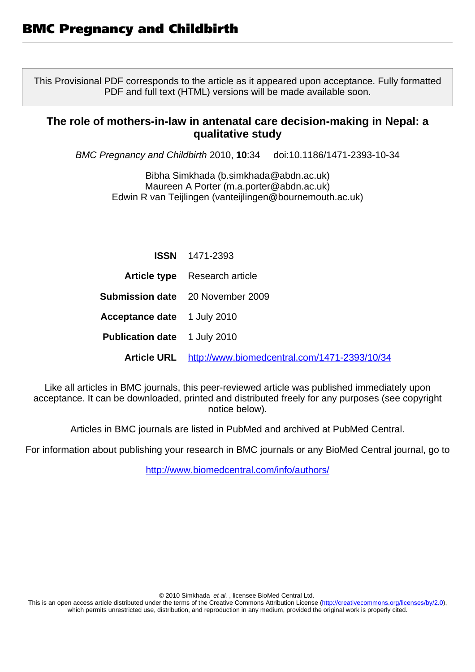This Provisional PDF corresponds to the article as it appeared upon acceptance. Fully formatted PDF and full text (HTML) versions will be made available soon.

### **The role of mothers-in-law in antenatal care decision-making in Nepal: a qualitative study**

BMC Pregnancy and Childbirth 2010, **10**:34 doi:10.1186/1471-2393-10-34

Bibha Simkhada ([b.simkhada@abdn.ac.uk](mailto:b.simkhada@abdn.ac.uk)) Maureen A Porter ([m.a.porter@abdn.ac.uk](mailto:m.a.porter@abdn.ac.uk)) Edwin R van Teijlingen ([vanteijlingen@bournemouth.ac.uk](mailto:vanteijlingen@bournemouth.ac.uk))

|                                     | <b>ISSN</b> 1471-2393                                    |
|-------------------------------------|----------------------------------------------------------|
|                                     | <b>Article type</b> Research article                     |
|                                     | <b>Submission date</b> 20 November 2009                  |
| <b>Acceptance date</b> 1 July 2010  |                                                          |
| <b>Publication date</b> 1 July 2010 |                                                          |
|                                     | Article URL http://www.biomedcentral.com/1471-2393/10/34 |

Like all articles in BMC journals, this peer-reviewed article was published immediately upon acceptance. It can be downloaded, printed and distributed freely for any purposes (see copyright notice below).

Articles in BMC journals are listed in PubMed and archived at PubMed Central.

For information about publishing your research in BMC journals or any BioMed Central journal, go to

<http://www.biomedcentral.com/info/authors/>

© 2010 Simkhada et al. , licensee BioMed Central Ltd.

This is an open access article distributed under the terms of the Creative Commons Attribution License [\(http://creativecommons.org/licenses/by/2.0](http://creativecommons.org/licenses/by/2.0)), which permits unrestricted use, distribution, and reproduction in any medium, provided the original work is properly cited.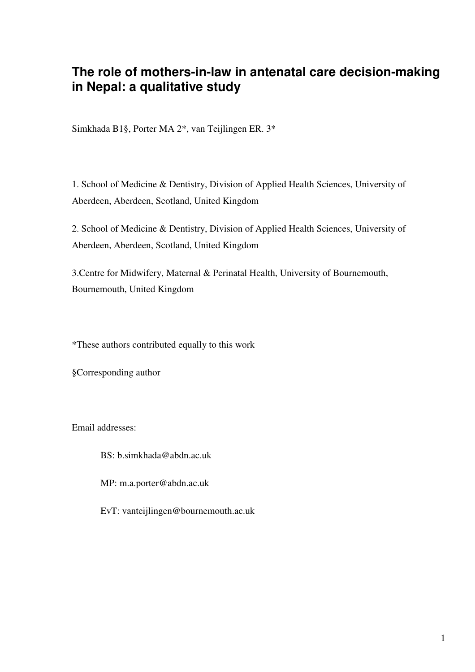# **The role of mothers-in-law in antenatal care decision-making in Nepal: a qualitative study**

Simkhada B1§, Porter MA 2\*, van Teijlingen ER. 3\*

1. School of Medicine & Dentistry, Division of Applied Health Sciences, University of Aberdeen, Aberdeen, Scotland, United Kingdom

2. School of Medicine & Dentistry, Division of Applied Health Sciences, University of Aberdeen, Aberdeen, Scotland, United Kingdom

3.Centre for Midwifery, Maternal & Perinatal Health, University of Bournemouth, Bournemouth, United Kingdom

\*These authors contributed equally to this work

§Corresponding author

Email addresses:

BS: b.simkhada@abdn.ac.uk

MP: m.a.porter@abdn.ac.uk

EvT: vanteijlingen@bournemouth.ac.uk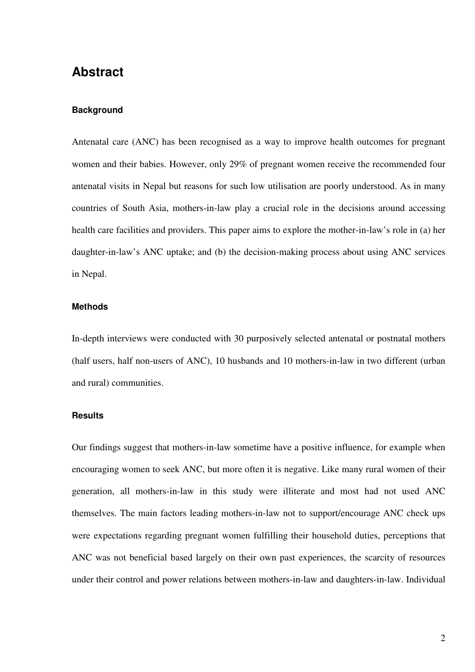### **Abstract**

### **Background**

Antenatal care (ANC) has been recognised as a way to improve health outcomes for pregnant women and their babies. However, only 29% of pregnant women receive the recommended four antenatal visits in Nepal but reasons for such low utilisation are poorly understood. As in many countries of South Asia, mothers-in-law play a crucial role in the decisions around accessing health care facilities and providers. This paper aims to explore the mother-in-law's role in (a) her daughter-in-law's ANC uptake; and (b) the decision-making process about using ANC services in Nepal.

### **Methods**

In-depth interviews were conducted with 30 purposively selected antenatal or postnatal mothers (half users, half non-users of ANC), 10 husbands and 10 mothers-in-law in two different (urban and rural) communities.

### **Results**

Our findings suggest that mothers-in-law sometime have a positive influence, for example when encouraging women to seek ANC, but more often it is negative. Like many rural women of their generation, all mothers-in-law in this study were illiterate and most had not used ANC themselves. The main factors leading mothers-in-law not to support/encourage ANC check ups were expectations regarding pregnant women fulfilling their household duties, perceptions that ANC was not beneficial based largely on their own past experiences, the scarcity of resources under their control and power relations between mothers-in-law and daughters-in-law. Individual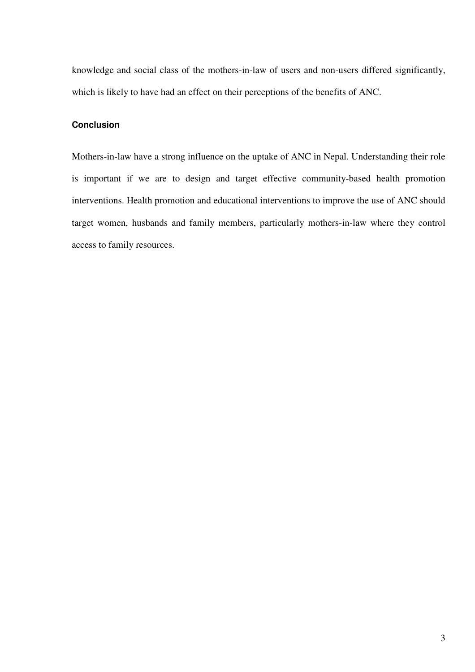knowledge and social class of the mothers-in-law of users and non-users differed significantly, which is likely to have had an effect on their perceptions of the benefits of ANC.

### **Conclusion**

Mothers-in-law have a strong influence on the uptake of ANC in Nepal. Understanding their role is important if we are to design and target effective community-based health promotion interventions. Health promotion and educational interventions to improve the use of ANC should target women, husbands and family members, particularly mothers-in-law where they control access to family resources.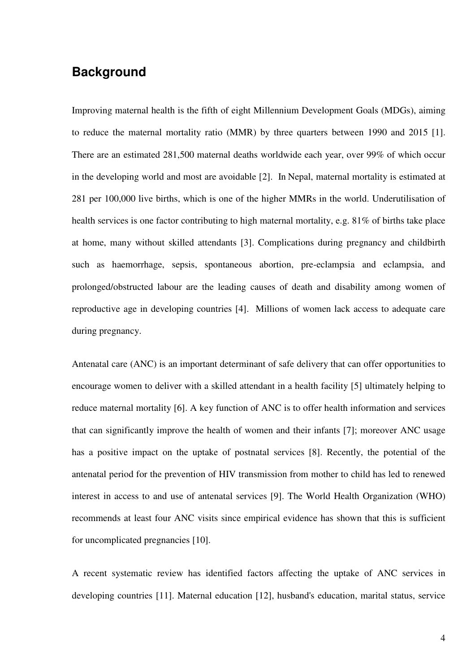# **Background**

Improving maternal health is the fifth of eight Millennium Development Goals (MDGs), aiming to reduce the maternal mortality ratio (MMR) by three quarters between 1990 and 2015 [1]. There are an estimated 281,500 maternal deaths worldwide each year, over 99% of which occur in the developing world and most are avoidable [2]. In Nepal, maternal mortality is estimated at 281 per 100,000 live births, which is one of the higher MMRs in the world. Underutilisation of health services is one factor contributing to high maternal mortality, e.g. 81% of births take place at home, many without skilled attendants [3]. Complications during pregnancy and childbirth such as haemorrhage, sepsis, spontaneous abortion, pre-eclampsia and eclampsia, and prolonged/obstructed labour are the leading causes of death and disability among women of reproductive age in developing countries [4]. Millions of women lack access to adequate care during pregnancy.

Antenatal care (ANC) is an important determinant of safe delivery that can offer opportunities to encourage women to deliver with a skilled attendant in a health facility [5] ultimately helping to reduce maternal mortality [6]. A key function of ANC is to offer health information and services that can significantly improve the health of women and their infants [7]; moreover ANC usage has a positive impact on the uptake of postnatal services [8]. Recently, the potential of the antenatal period for the prevention of HIV transmission from mother to child has led to renewed interest in access to and use of antenatal services [9]. The World Health Organization (WHO) recommends at least four ANC visits since empirical evidence has shown that this is sufficient for uncomplicated pregnancies [10].

A recent systematic review has identified factors affecting the uptake of ANC services in developing countries [11]. Maternal education [12], husband's education, marital status, service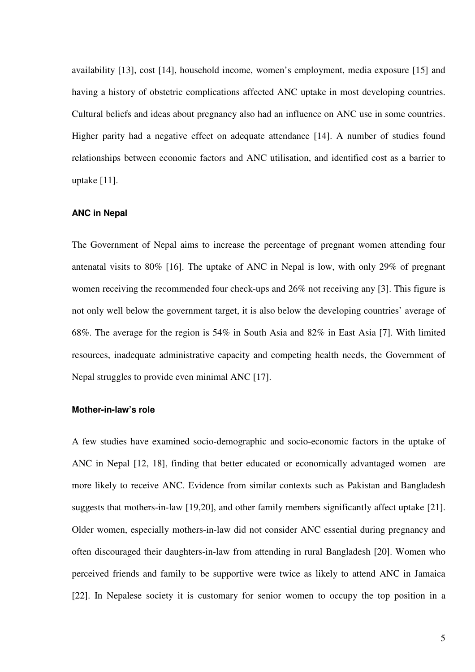availability [13], cost [14], household income, women's employment, media exposure [15] and having a history of obstetric complications affected ANC uptake in most developing countries. Cultural beliefs and ideas about pregnancy also had an influence on ANC use in some countries. Higher parity had a negative effect on adequate attendance [14]. A number of studies found relationships between economic factors and ANC utilisation, and identified cost as a barrier to uptake [11].

#### **ANC in Nepal**

The Government of Nepal aims to increase the percentage of pregnant women attending four antenatal visits to 80% [16]. The uptake of ANC in Nepal is low, with only 29% of pregnant women receiving the recommended four check-ups and 26% not receiving any [3]. This figure is not only well below the government target, it is also below the developing countries' average of 68%. The average for the region is 54% in South Asia and 82% in East Asia [7]. With limited resources, inadequate administrative capacity and competing health needs, the Government of Nepal struggles to provide even minimal ANC [17].

#### **Mother-in-law's role**

A few studies have examined socio-demographic and socio-economic factors in the uptake of ANC in Nepal [12, 18], finding that better educated or economically advantaged women are more likely to receive ANC. Evidence from similar contexts such as Pakistan and Bangladesh suggests that mothers-in-law [19,20], and other family members significantly affect uptake [21]. Older women, especially mothers-in-law did not consider ANC essential during pregnancy and often discouraged their daughters-in-law from attending in rural Bangladesh [20]. Women who perceived friends and family to be supportive were twice as likely to attend ANC in Jamaica [22]. In Nepalese society it is customary for senior women to occupy the top position in a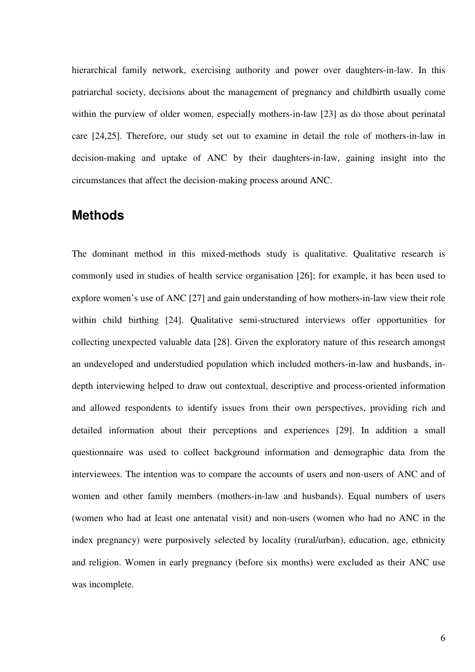hierarchical family network, exercising authority and power over daughters-in-law. In this patriarchal society, decisions about the management of pregnancy and childbirth usually come within the purview of older women, especially mothers-in-law [23] as do those about perinatal care [24,25]. Therefore, our study set out to examine in detail the role of mothers-in-law in decision-making and uptake of ANC by their daughters-in-law, gaining insight into the circumstances that affect the decision-making process around ANC.

### **Methods**

The dominant method in this mixed-methods study is qualitative. Qualitative research is commonly used in studies of health service organisation [26]; for example, it has been used to explore women's use of ANC [27] and gain understanding of how mothers-in-law view their role within child birthing [24]. Qualitative semi-structured interviews offer opportunities for collecting unexpected valuable data [28]. Given the exploratory nature of this research amongst an undeveloped and understudied population which included mothers-in-law and husbands, indepth interviewing helped to draw out contextual, descriptive and process-oriented information and allowed respondents to identify issues from their own perspectives, providing rich and detailed information about their perceptions and experiences [29]. In addition a small questionnaire was used to collect background information and demographic data from the interviewees. The intention was to compare the accounts of users and non-users of ANC and of women and other family members (mothers-in-law and husbands). Equal numbers of users (women who had at least one antenatal visit) and non-users (women who had no ANC in the index pregnancy) were purposively selected by locality (rural/urban), education, age, ethnicity and religion. Women in early pregnancy (before six months) were excluded as their ANC use was incomplete.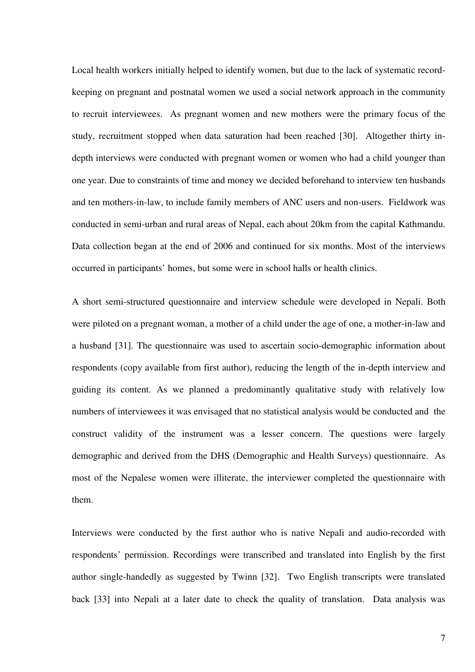Local health workers initially helped to identify women, but due to the lack of systematic recordkeeping on pregnant and postnatal women we used a social network approach in the community to recruit interviewees. As pregnant women and new mothers were the primary focus of the study, recruitment stopped when data saturation had been reached [30]. Altogether thirty indepth interviews were conducted with pregnant women or women who had a child younger than one year. Due to constraints of time and money we decided beforehand to interview ten husbands and ten mothers-in-law, to include family members of ANC users and non-users. Fieldwork was conducted in semi-urban and rural areas of Nepal, each about 20km from the capital Kathmandu. Data collection began at the end of 2006 and continued for six months. Most of the interviews occurred in participants' homes, but some were in school halls or health clinics.

A short semi-structured questionnaire and interview schedule were developed in Nepali. Both were piloted on a pregnant woman, a mother of a child under the age of one, a mother-in-law and a husband [31]. The questionnaire was used to ascertain socio-demographic information about respondents (copy available from first author), reducing the length of the in-depth interview and guiding its content. As we planned a predominantly qualitative study with relatively low numbers of interviewees it was envisaged that no statistical analysis would be conducted and the construct validity of the instrument was a lesser concern. The questions were largely demographic and derived from the DHS (Demographic and Health Surveys) questionnaire. As most of the Nepalese women were illiterate, the interviewer completed the questionnaire with them.

Interviews were conducted by the first author who is native Nepali and audio-recorded with respondents' permission. Recordings were transcribed and translated into English by the first author single-handedly as suggested by Twinn [32]. Two English transcripts were translated back [33] into Nepali at a later date to check the quality of translation. Data analysis was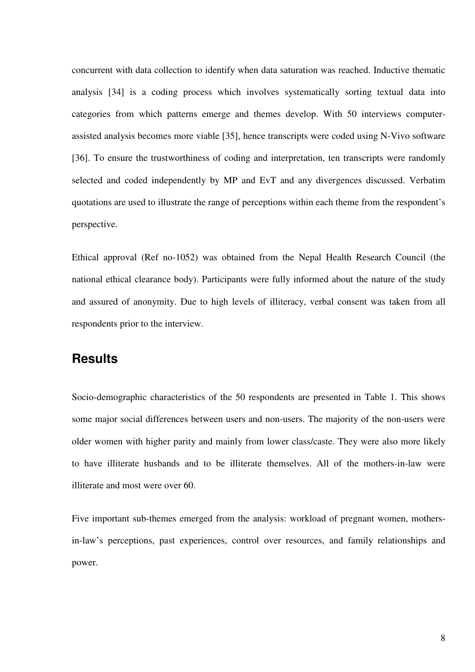concurrent with data collection to identify when data saturation was reached. Inductive thematic analysis [34] is a coding process which involves systematically sorting textual data into categories from which patterns emerge and themes develop. With 50 interviews computerassisted analysis becomes more viable [35], hence transcripts were coded using N-Vivo software [36]. To ensure the trustworthiness of coding and interpretation, ten transcripts were randomly selected and coded independently by MP and EvT and any divergences discussed. Verbatim quotations are used to illustrate the range of perceptions within each theme from the respondent's perspective.

Ethical approval (Ref no-1052) was obtained from the Nepal Health Research Council (the national ethical clearance body). Participants were fully informed about the nature of the study and assured of anonymity. Due to high levels of illiteracy, verbal consent was taken from all respondents prior to the interview.

## **Results**

Socio-demographic characteristics of the 50 respondents are presented in Table 1. This shows some major social differences between users and non-users. The majority of the non-users were older women with higher parity and mainly from lower class/caste. They were also more likely to have illiterate husbands and to be illiterate themselves. All of the mothers-in-law were illiterate and most were over 60.

Five important sub-themes emerged from the analysis: workload of pregnant women, mothersin-law's perceptions, past experiences, control over resources, and family relationships and power.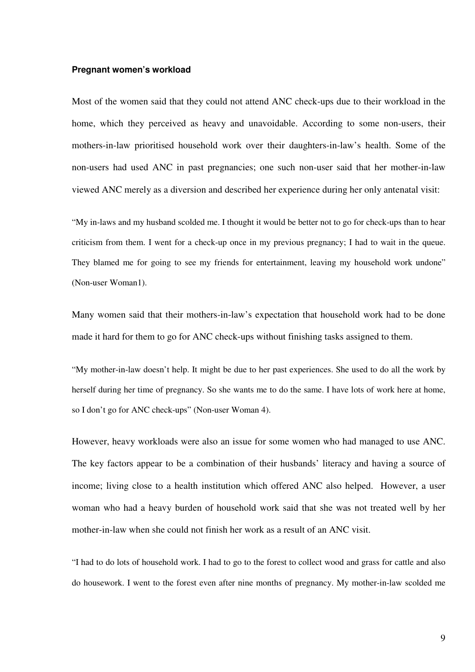#### **Pregnant women's workload**

Most of the women said that they could not attend ANC check-ups due to their workload in the home, which they perceived as heavy and unavoidable. According to some non-users, their mothers-in-law prioritised household work over their daughters-in-law's health. Some of the non-users had used ANC in past pregnancies; one such non-user said that her mother-in-law viewed ANC merely as a diversion and described her experience during her only antenatal visit:

"My in-laws and my husband scolded me. I thought it would be better not to go for check-ups than to hear criticism from them. I went for a check-up once in my previous pregnancy; I had to wait in the queue. They blamed me for going to see my friends for entertainment, leaving my household work undone" (Non-user Woman1).

Many women said that their mothers-in-law's expectation that household work had to be done made it hard for them to go for ANC check-ups without finishing tasks assigned to them.

"My mother-in-law doesn't help. It might be due to her past experiences. She used to do all the work by herself during her time of pregnancy. So she wants me to do the same. I have lots of work here at home, so I don't go for ANC check-ups" (Non-user Woman 4).

However, heavy workloads were also an issue for some women who had managed to use ANC. The key factors appear to be a combination of their husbands' literacy and having a source of income; living close to a health institution which offered ANC also helped. However, a user woman who had a heavy burden of household work said that she was not treated well by her mother-in-law when she could not finish her work as a result of an ANC visit.

"I had to do lots of household work. I had to go to the forest to collect wood and grass for cattle and also do housework. I went to the forest even after nine months of pregnancy. My mother-in-law scolded me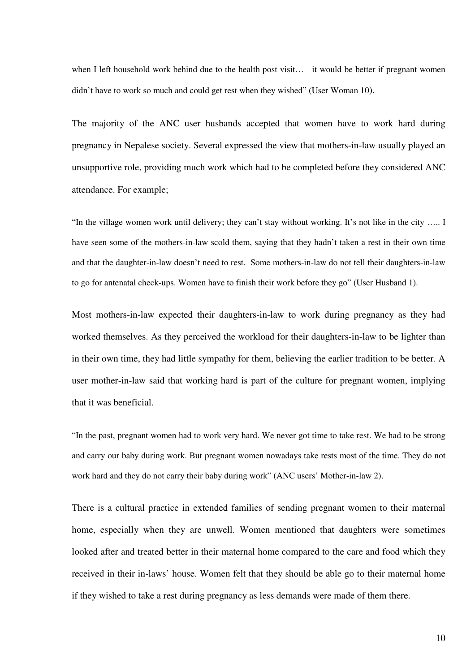when I left household work behind due to the health post visit... it would be better if pregnant women didn't have to work so much and could get rest when they wished" (User Woman 10).

The majority of the ANC user husbands accepted that women have to work hard during pregnancy in Nepalese society. Several expressed the view that mothers-in-law usually played an unsupportive role, providing much work which had to be completed before they considered ANC attendance. For example;

"In the village women work until delivery; they can't stay without working. It's not like in the city ….. I have seen some of the mothers-in-law scold them, saying that they hadn't taken a rest in their own time and that the daughter-in-law doesn't need to rest. Some mothers-in-law do not tell their daughters-in-law to go for antenatal check-ups. Women have to finish their work before they go" (User Husband 1).

Most mothers-in-law expected their daughters-in-law to work during pregnancy as they had worked themselves. As they perceived the workload for their daughters-in-law to be lighter than in their own time, they had little sympathy for them, believing the earlier tradition to be better. A user mother-in-law said that working hard is part of the culture for pregnant women, implying that it was beneficial.

"In the past, pregnant women had to work very hard. We never got time to take rest. We had to be strong and carry our baby during work. But pregnant women nowadays take rests most of the time. They do not work hard and they do not carry their baby during work" (ANC users' Mother-in-law 2).

There is a cultural practice in extended families of sending pregnant women to their maternal home, especially when they are unwell. Women mentioned that daughters were sometimes looked after and treated better in their maternal home compared to the care and food which they received in their in-laws' house. Women felt that they should be able go to their maternal home if they wished to take a rest during pregnancy as less demands were made of them there.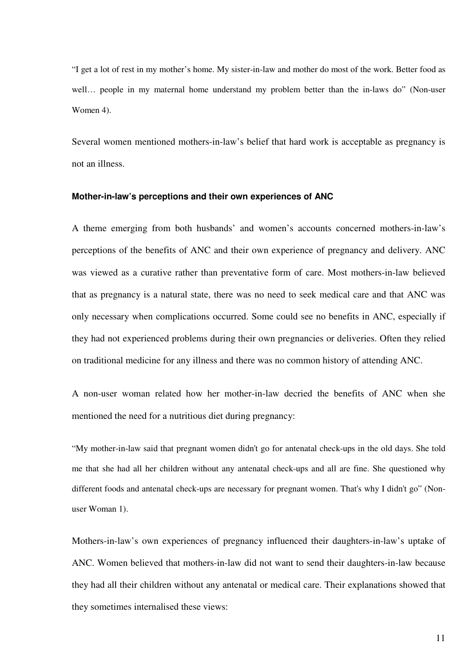"I get a lot of rest in my mother's home. My sister-in-law and mother do most of the work. Better food as well... people in my maternal home understand my problem better than the in-laws do" (Non-user Women 4).

Several women mentioned mothers-in-law's belief that hard work is acceptable as pregnancy is not an illness.

#### **Mother-in-law's perceptions and their own experiences of ANC**

A theme emerging from both husbands' and women's accounts concerned mothers-in-law's perceptions of the benefits of ANC and their own experience of pregnancy and delivery. ANC was viewed as a curative rather than preventative form of care. Most mothers-in-law believed that as pregnancy is a natural state, there was no need to seek medical care and that ANC was only necessary when complications occurred. Some could see no benefits in ANC, especially if they had not experienced problems during their own pregnancies or deliveries. Often they relied on traditional medicine for any illness and there was no common history of attending ANC.

A non-user woman related how her mother-in-law decried the benefits of ANC when she mentioned the need for a nutritious diet during pregnancy:

"My mother-in-law said that pregnant women didn't go for antenatal check-ups in the old days. She told me that she had all her children without any antenatal check-ups and all are fine. She questioned why different foods and antenatal check-ups are necessary for pregnant women. That's why I didn't go" (Nonuser Woman 1).

Mothers-in-law's own experiences of pregnancy influenced their daughters-in-law's uptake of ANC. Women believed that mothers-in-law did not want to send their daughters-in-law because they had all their children without any antenatal or medical care. Their explanations showed that they sometimes internalised these views: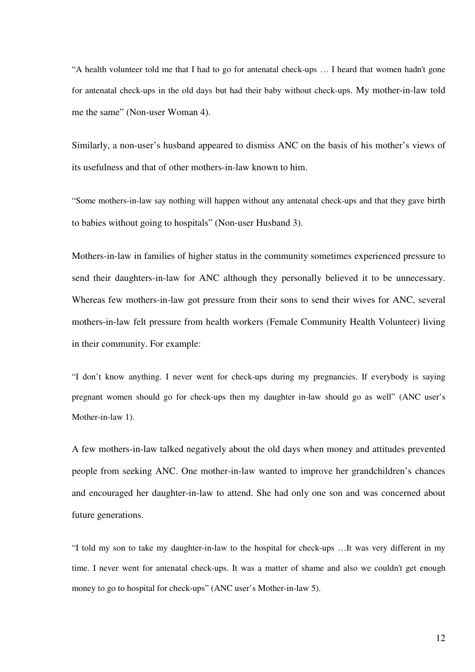"A health volunteer told me that I had to go for antenatal check-ups … I heard that women hadn't gone for antenatal check-ups in the old days but had their baby without check-ups. My mother-in-law told me the same" (Non-user Woman 4).

Similarly, a non-user's husband appeared to dismiss ANC on the basis of his mother's views of its usefulness and that of other mothers-in-law known to him.

"Some mothers-in-law say nothing will happen without any antenatal check-ups and that they gave birth to babies without going to hospitals" (Non-user Husband 3).

Mothers-in-law in families of higher status in the community sometimes experienced pressure to send their daughters-in-law for ANC although they personally believed it to be unnecessary. Whereas few mothers-in-law got pressure from their sons to send their wives for ANC, several mothers-in-law felt pressure from health workers (Female Community Health Volunteer) living in their community. For example:

"I don't know anything. I never went for check-ups during my pregnancies. If everybody is saying pregnant women should go for check-ups then my daughter in-law should go as well" (ANC user's Mother-in-law 1).

A few mothers-in-law talked negatively about the old days when money and attitudes prevented people from seeking ANC. One mother-in-law wanted to improve her grandchildren's chances and encouraged her daughter-in-law to attend. She had only one son and was concerned about future generations.

"I told my son to take my daughter-in-law to the hospital for check-ups …It was very different in my time. I never went for antenatal check-ups. It was a matter of shame and also we couldn't get enough money to go to hospital for check-ups" (ANC user's Mother-in-law 5).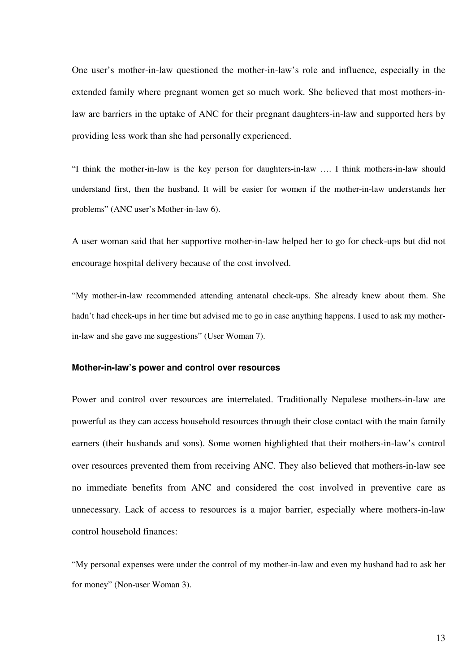One user's mother-in-law questioned the mother-in-law's role and influence, especially in the extended family where pregnant women get so much work. She believed that most mothers-inlaw are barriers in the uptake of ANC for their pregnant daughters-in-law and supported hers by providing less work than she had personally experienced.

"I think the mother-in-law is the key person for daughters-in-law …. I think mothers-in-law should understand first, then the husband. It will be easier for women if the mother-in-law understands her problems" (ANC user's Mother-in-law 6).

A user woman said that her supportive mother-in-law helped her to go for check-ups but did not encourage hospital delivery because of the cost involved.

"My mother-in-law recommended attending antenatal check-ups. She already knew about them. She hadn't had check-ups in her time but advised me to go in case anything happens. I used to ask my motherin-law and she gave me suggestions" (User Woman 7).

#### **Mother-in-law's power and control over resources**

Power and control over resources are interrelated. Traditionally Nepalese mothers-in-law are powerful as they can access household resources through their close contact with the main family earners (their husbands and sons). Some women highlighted that their mothers-in-law's control over resources prevented them from receiving ANC. They also believed that mothers-in-law see no immediate benefits from ANC and considered the cost involved in preventive care as unnecessary. Lack of access to resources is a major barrier, especially where mothers-in-law control household finances:

"My personal expenses were under the control of my mother-in-law and even my husband had to ask her for money" (Non-user Woman 3).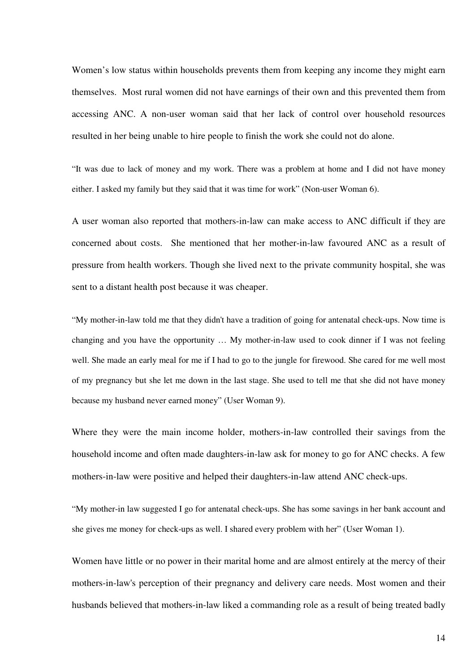Women's low status within households prevents them from keeping any income they might earn themselves. Most rural women did not have earnings of their own and this prevented them from accessing ANC. A non-user woman said that her lack of control over household resources resulted in her being unable to hire people to finish the work she could not do alone.

"It was due to lack of money and my work. There was a problem at home and I did not have money either. I asked my family but they said that it was time for work" (Non-user Woman 6).

A user woman also reported that mothers-in-law can make access to ANC difficult if they are concerned about costs. She mentioned that her mother-in-law favoured ANC as a result of pressure from health workers. Though she lived next to the private community hospital, she was sent to a distant health post because it was cheaper.

"My mother-in-law told me that they didn't have a tradition of going for antenatal check-ups. Now time is changing and you have the opportunity … My mother-in-law used to cook dinner if I was not feeling well. She made an early meal for me if I had to go to the jungle for firewood. She cared for me well most of my pregnancy but she let me down in the last stage. She used to tell me that she did not have money because my husband never earned money" (User Woman 9).

Where they were the main income holder, mothers-in-law controlled their savings from the household income and often made daughters-in-law ask for money to go for ANC checks. A few mothers-in-law were positive and helped their daughters-in-law attend ANC check-ups.

"My mother-in law suggested I go for antenatal check-ups. She has some savings in her bank account and she gives me money for check-ups as well. I shared every problem with her" (User Woman 1).

Women have little or no power in their marital home and are almost entirely at the mercy of their mothers-in-law's perception of their pregnancy and delivery care needs. Most women and their husbands believed that mothers-in-law liked a commanding role as a result of being treated badly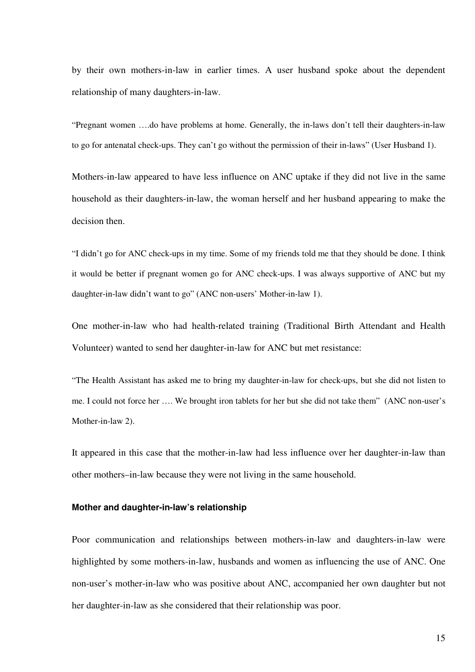by their own mothers-in-law in earlier times. A user husband spoke about the dependent relationship of many daughters-in-law.

"Pregnant women ….do have problems at home. Generally, the in-laws don't tell their daughters-in-law to go for antenatal check-ups. They can't go without the permission of their in-laws" (User Husband 1).

Mothers-in-law appeared to have less influence on ANC uptake if they did not live in the same household as their daughters-in-law, the woman herself and her husband appearing to make the decision then.

"I didn't go for ANC check-ups in my time. Some of my friends told me that they should be done. I think it would be better if pregnant women go for ANC check-ups. I was always supportive of ANC but my daughter-in-law didn't want to go" (ANC non-users' Mother-in-law 1).

One mother-in-law who had health-related training (Traditional Birth Attendant and Health Volunteer) wanted to send her daughter-in-law for ANC but met resistance:

"The Health Assistant has asked me to bring my daughter-in-law for check-ups, but she did not listen to me. I could not force her …. We brought iron tablets for her but she did not take them" (ANC non-user's Mother-in-law 2).

It appeared in this case that the mother-in-law had less influence over her daughter-in-law than other mothers–in-law because they were not living in the same household.

#### **Mother and daughter-in-law's relationship**

Poor communication and relationships between mothers-in-law and daughters-in-law were highlighted by some mothers-in-law, husbands and women as influencing the use of ANC. One non-user's mother-in-law who was positive about ANC, accompanied her own daughter but not her daughter-in-law as she considered that their relationship was poor.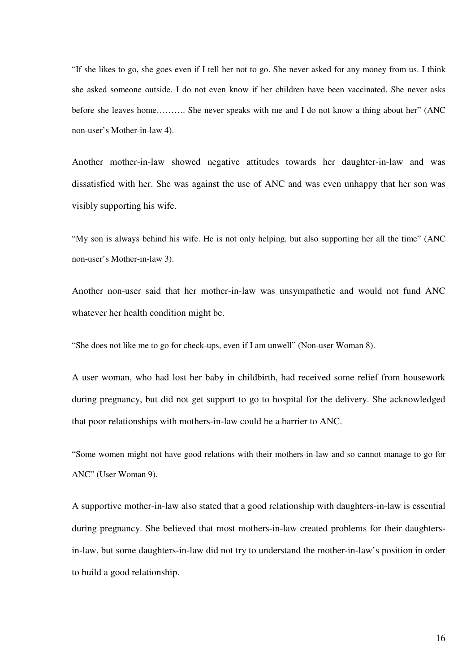"If she likes to go, she goes even if I tell her not to go. She never asked for any money from us. I think she asked someone outside. I do not even know if her children have been vaccinated. She never asks before she leaves home………. She never speaks with me and I do not know a thing about her" (ANC non-user's Mother-in-law 4).

Another mother-in-law showed negative attitudes towards her daughter-in-law and was dissatisfied with her. She was against the use of ANC and was even unhappy that her son was visibly supporting his wife.

"My son is always behind his wife. He is not only helping, but also supporting her all the time" (ANC non-user's Mother-in-law 3).

Another non-user said that her mother-in-law was unsympathetic and would not fund ANC whatever her health condition might be.

"She does not like me to go for check-ups, even if I am unwell" (Non-user Woman 8).

A user woman, who had lost her baby in childbirth, had received some relief from housework during pregnancy, but did not get support to go to hospital for the delivery. She acknowledged that poor relationships with mothers-in-law could be a barrier to ANC.

"Some women might not have good relations with their mothers-in-law and so cannot manage to go for ANC" (User Woman 9).

A supportive mother-in-law also stated that a good relationship with daughters-in-law is essential during pregnancy. She believed that most mothers-in-law created problems for their daughtersin-law, but some daughters-in-law did not try to understand the mother-in-law's position in order to build a good relationship.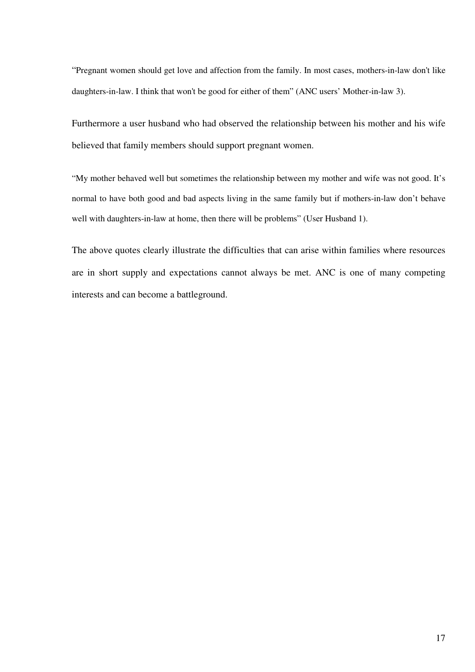"Pregnant women should get love and affection from the family. In most cases, mothers-in-law don't like daughters-in-law. I think that won't be good for either of them" (ANC users' Mother-in-law 3).

Furthermore a user husband who had observed the relationship between his mother and his wife believed that family members should support pregnant women.

"My mother behaved well but sometimes the relationship between my mother and wife was not good. It's normal to have both good and bad aspects living in the same family but if mothers-in-law don't behave well with daughters-in-law at home, then there will be problems" (User Husband 1).

The above quotes clearly illustrate the difficulties that can arise within families where resources are in short supply and expectations cannot always be met. ANC is one of many competing interests and can become a battleground.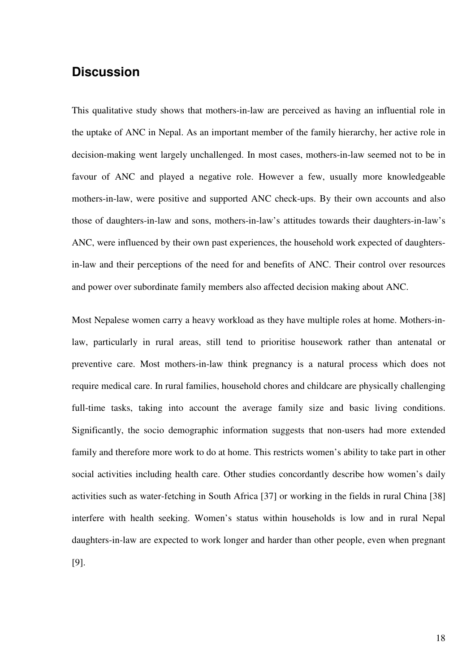# **Discussion**

This qualitative study shows that mothers-in-law are perceived as having an influential role in the uptake of ANC in Nepal. As an important member of the family hierarchy, her active role in decision-making went largely unchallenged. In most cases, mothers-in-law seemed not to be in favour of ANC and played a negative role. However a few, usually more knowledgeable mothers-in-law, were positive and supported ANC check-ups. By their own accounts and also those of daughters-in-law and sons, mothers-in-law's attitudes towards their daughters-in-law's ANC, were influenced by their own past experiences, the household work expected of daughtersin-law and their perceptions of the need for and benefits of ANC. Their control over resources and power over subordinate family members also affected decision making about ANC.

Most Nepalese women carry a heavy workload as they have multiple roles at home. Mothers-inlaw, particularly in rural areas, still tend to prioritise housework rather than antenatal or preventive care. Most mothers-in-law think pregnancy is a natural process which does not require medical care. In rural families, household chores and childcare are physically challenging full-time tasks, taking into account the average family size and basic living conditions. Significantly, the socio demographic information suggests that non-users had more extended family and therefore more work to do at home. This restricts women's ability to take part in other social activities including health care. Other studies concordantly describe how women's daily activities such as water-fetching in South Africa [37] or working in the fields in rural China [38] interfere with health seeking. Women's status within households is low and in rural Nepal daughters-in-law are expected to work longer and harder than other people, even when pregnant [9].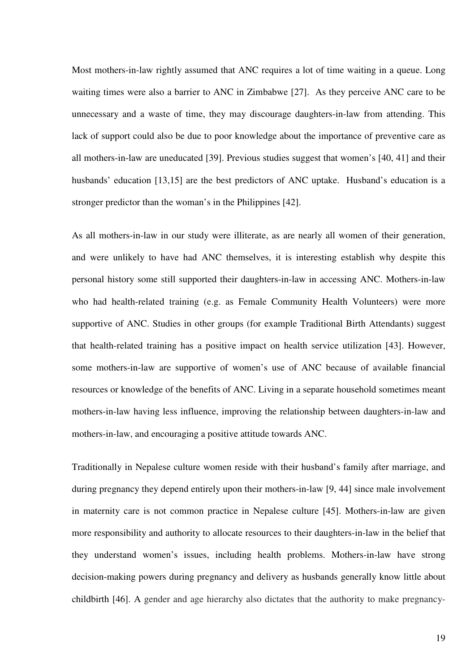Most mothers-in-law rightly assumed that ANC requires a lot of time waiting in a queue. Long waiting times were also a barrier to ANC in Zimbabwe [27]. As they perceive ANC care to be unnecessary and a waste of time, they may discourage daughters-in-law from attending. This lack of support could also be due to poor knowledge about the importance of preventive care as all mothers-in-law are uneducated [39]. Previous studies suggest that women's [40, 41] and their husbands' education [13,15] are the best predictors of ANC uptake. Husband's education is a stronger predictor than the woman's in the Philippines [42].

As all mothers-in-law in our study were illiterate, as are nearly all women of their generation, and were unlikely to have had ANC themselves, it is interesting establish why despite this personal history some still supported their daughters-in-law in accessing ANC. Mothers-in-law who had health-related training (e.g. as Female Community Health Volunteers) were more supportive of ANC. Studies in other groups (for example Traditional Birth Attendants) suggest that health-related training has a positive impact on health service utilization [43]. However, some mothers-in-law are supportive of women's use of ANC because of available financial resources or knowledge of the benefits of ANC. Living in a separate household sometimes meant mothers-in-law having less influence, improving the relationship between daughters-in-law and mothers-in-law, and encouraging a positive attitude towards ANC.

Traditionally in Nepalese culture women reside with their husband's family after marriage, and during pregnancy they depend entirely upon their mothers-in-law [9, 44] since male involvement in maternity care is not common practice in Nepalese culture [45]. Mothers-in-law are given more responsibility and authority to allocate resources to their daughters-in-law in the belief that they understand women's issues, including health problems. Mothers-in-law have strong decision-making powers during pregnancy and delivery as husbands generally know little about childbirth [46]. A gender and age hierarchy also dictates that the authority to make pregnancy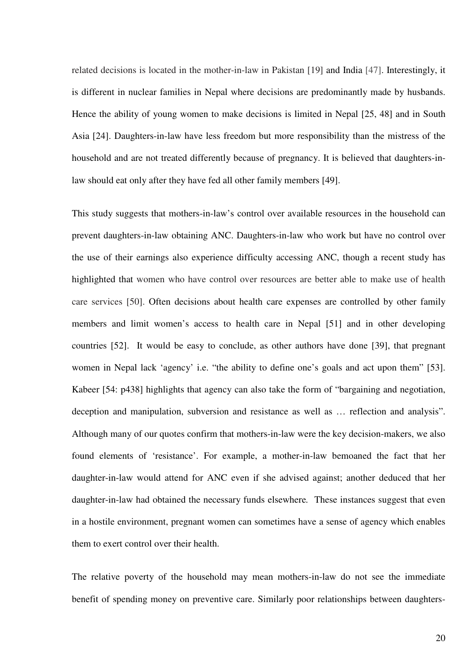related decisions is located in the mother-in-law in Pakistan [19] and India [47]. Interestingly, it is different in nuclear families in Nepal where decisions are predominantly made by husbands. Hence the ability of young women to make decisions is limited in Nepal [25, 48] and in South Asia [24]. Daughters-in-law have less freedom but more responsibility than the mistress of the household and are not treated differently because of pregnancy. It is believed that daughters-inlaw should eat only after they have fed all other family members [49].

This study suggests that mothers-in-law's control over available resources in the household can prevent daughters-in-law obtaining ANC. Daughters-in-law who work but have no control over the use of their earnings also experience difficulty accessing ANC, though a recent study has highlighted that women who have control over resources are better able to make use of health care services [50]. Often decisions about health care expenses are controlled by other family members and limit women's access to health care in Nepal [51] and in other developing countries [52]. It would be easy to conclude, as other authors have done [39], that pregnant women in Nepal lack 'agency' i.e. "the ability to define one's goals and act upon them" [53]. Kabeer [54: p438] highlights that agency can also take the form of "bargaining and negotiation, deception and manipulation, subversion and resistance as well as … reflection and analysis". Although many of our quotes confirm that mothers-in-law were the key decision-makers, we also found elements of 'resistance'. For example, a mother-in-law bemoaned the fact that her daughter-in-law would attend for ANC even if she advised against; another deduced that her daughter-in-law had obtained the necessary funds elsewhere*.* These instances suggest that even in a hostile environment, pregnant women can sometimes have a sense of agency which enables them to exert control over their health.

The relative poverty of the household may mean mothers-in-law do not see the immediate benefit of spending money on preventive care. Similarly poor relationships between daughters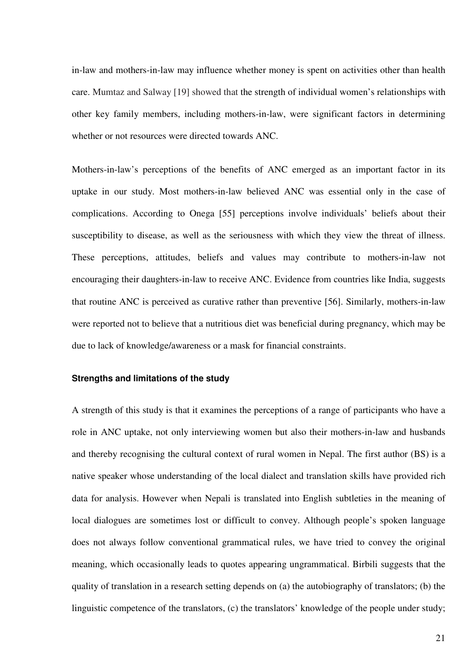in-law and mothers-in-law may influence whether money is spent on activities other than health care. Mumtaz and Salway [19] showed that the strength of individual women's relationships with other key family members, including mothers-in-law, were significant factors in determining whether or not resources were directed towards ANC.

Mothers-in-law's perceptions of the benefits of ANC emerged as an important factor in its uptake in our study. Most mothers-in-law believed ANC was essential only in the case of complications. According to Onega [55] perceptions involve individuals' beliefs about their susceptibility to disease, as well as the seriousness with which they view the threat of illness. These perceptions, attitudes, beliefs and values may contribute to mothers-in-law not encouraging their daughters-in-law to receive ANC. Evidence from countries like India, suggests that routine ANC is perceived as curative rather than preventive [56]. Similarly, mothers-in-law were reported not to believe that a nutritious diet was beneficial during pregnancy, which may be due to lack of knowledge/awareness or a mask for financial constraints.

#### **Strengths and limitations of the study**

A strength of this study is that it examines the perceptions of a range of participants who have a role in ANC uptake, not only interviewing women but also their mothers-in-law and husbands and thereby recognising the cultural context of rural women in Nepal. The first author (BS) is a native speaker whose understanding of the local dialect and translation skills have provided rich data for analysis. However when Nepali is translated into English subtleties in the meaning of local dialogues are sometimes lost or difficult to convey. Although people's spoken language does not always follow conventional grammatical rules, we have tried to convey the original meaning, which occasionally leads to quotes appearing ungrammatical. Birbili suggests that the quality of translation in a research setting depends on (a) the autobiography of translators; (b) the linguistic competence of the translators, (c) the translators' knowledge of the people under study;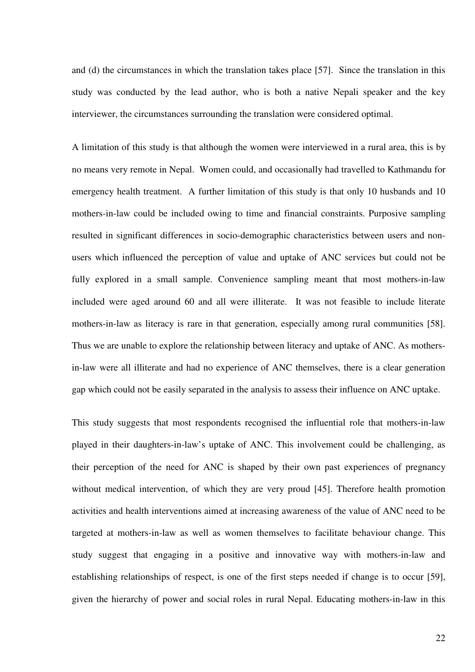and (d) the circumstances in which the translation takes place [57]. Since the translation in this study was conducted by the lead author, who is both a native Nepali speaker and the key interviewer, the circumstances surrounding the translation were considered optimal.

A limitation of this study is that although the women were interviewed in a rural area, this is by no means very remote in Nepal. Women could, and occasionally had travelled to Kathmandu for emergency health treatment. A further limitation of this study is that only 10 husbands and 10 mothers-in-law could be included owing to time and financial constraints. Purposive sampling resulted in significant differences in socio-demographic characteristics between users and nonusers which influenced the perception of value and uptake of ANC services but could not be fully explored in a small sample. Convenience sampling meant that most mothers-in-law included were aged around 60 and all were illiterate. It was not feasible to include literate mothers-in-law as literacy is rare in that generation, especially among rural communities [58]. Thus we are unable to explore the relationship between literacy and uptake of ANC. As mothersin-law were all illiterate and had no experience of ANC themselves, there is a clear generation gap which could not be easily separated in the analysis to assess their influence on ANC uptake.

This study suggests that most respondents recognised the influential role that mothers-in-law played in their daughters-in-law's uptake of ANC. This involvement could be challenging, as their perception of the need for ANC is shaped by their own past experiences of pregnancy without medical intervention, of which they are very proud [45]. Therefore health promotion activities and health interventions aimed at increasing awareness of the value of ANC need to be targeted at mothers-in-law as well as women themselves to facilitate behaviour change. This study suggest that engaging in a positive and innovative way with mothers-in-law and establishing relationships of respect, is one of the first steps needed if change is to occur [59], given the hierarchy of power and social roles in rural Nepal. Educating mothers-in-law in this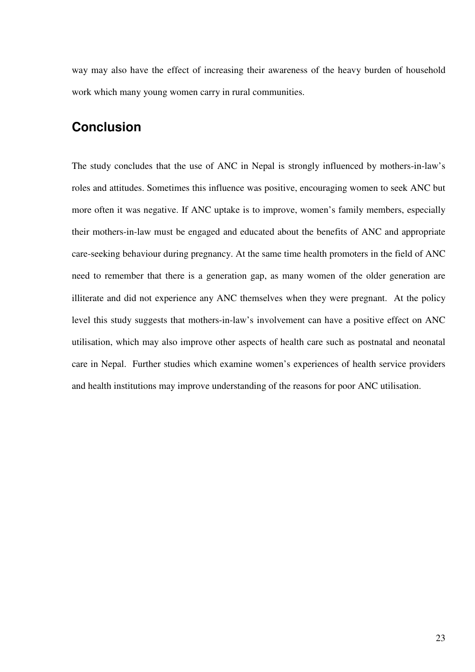way may also have the effect of increasing their awareness of the heavy burden of household work which many young women carry in rural communities.

# **Conclusion**

The study concludes that the use of ANC in Nepal is strongly influenced by mothers-in-law's roles and attitudes. Sometimes this influence was positive, encouraging women to seek ANC but more often it was negative. If ANC uptake is to improve, women's family members, especially their mothers-in-law must be engaged and educated about the benefits of ANC and appropriate care-seeking behaviour during pregnancy. At the same time health promoters in the field of ANC need to remember that there is a generation gap, as many women of the older generation are illiterate and did not experience any ANC themselves when they were pregnant. At the policy level this study suggests that mothers-in-law's involvement can have a positive effect on ANC utilisation, which may also improve other aspects of health care such as postnatal and neonatal care in Nepal. Further studies which examine women's experiences of health service providers and health institutions may improve understanding of the reasons for poor ANC utilisation.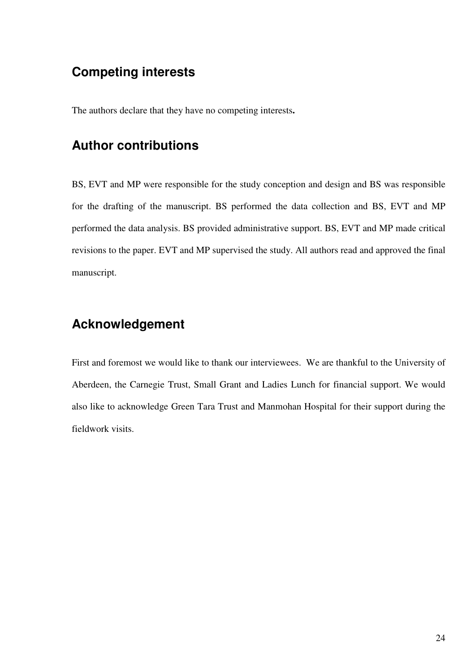# **Competing interests**

The authors declare that they have no competing interests**.**

# **Author contributions**

BS, EVT and MP were responsible for the study conception and design and BS was responsible for the drafting of the manuscript. BS performed the data collection and BS, EVT and MP performed the data analysis. BS provided administrative support. BS, EVT and MP made critical revisions to the paper. EVT and MP supervised the study. All authors read and approved the final manuscript.

# **Acknowledgement**

First and foremost we would like to thank our interviewees. We are thankful to the University of Aberdeen, the Carnegie Trust, Small Grant and Ladies Lunch for financial support. We would also like to acknowledge Green Tara Trust and Manmohan Hospital for their support during the fieldwork visits.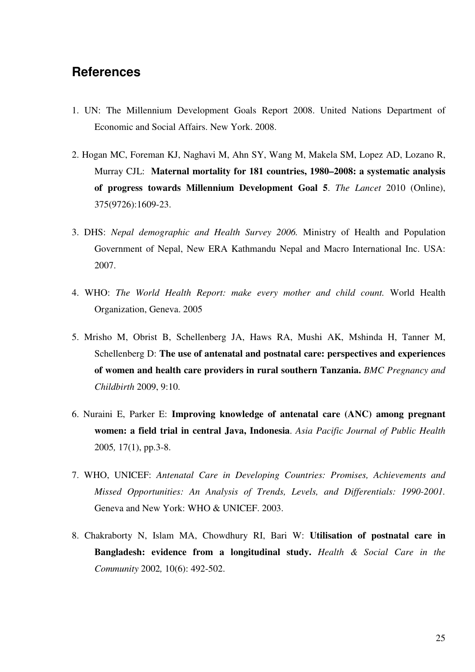### **References**

- 1. UN: The Millennium Development Goals Report 2008. United Nations Department of Economic and Social Affairs. New York. 2008.
- 2. Hogan MC, Foreman KJ, Naghavi M, Ahn SY, Wang M, Makela SM, Lopez AD, Lozano R, Murray CJL: **Maternal mortality for 181 countries, 1980–2008: a systematic analysis of progress towards Millennium Development Goal 5**. *The Lancet* 2010 (Online), 375(9726):1609-23.
- 3. DHS: *Nepal demographic and Health Survey 2006.* Ministry of Health and Population Government of Nepal, New ERA Kathmandu Nepal and Macro International Inc. USA: 2007.
- 4. WHO: *The World Health Report: make every mother and child count.* World Health Organization, Geneva. 2005
- 5. Mrisho M, Obrist B, Schellenberg JA, Haws RA, Mushi AK, Mshinda H, Tanner M, Schellenberg D: **The use of antenatal and postnatal care: perspectives and experiences of women and health care providers in rural southern Tanzania.** *BMC Pregnancy and Childbirth* 2009, 9:10.
- 6. Nuraini E, Parker E: **Improving knowledge of antenatal care (ANC) among pregnant women: a field trial in central Java, Indonesia**. *Asia Pacific Journal of Public Health*  2005*,* 17(1), pp.3-8.
- 7. WHO, UNICEF: *Antenatal Care in Developing Countries: Promises, Achievements and Missed Opportunities: An Analysis of Trends, Levels, and Differentials: 1990-2001.* Geneva and New York: WHO & UNICEF. 2003.
- 8. Chakraborty N, Islam MA, Chowdhury RI, Bari W: **Utilisation of postnatal care in Bangladesh: evidence from a longitudinal study.** *Health & Social Care in the Community* 2002*,* 10(6): 492-502.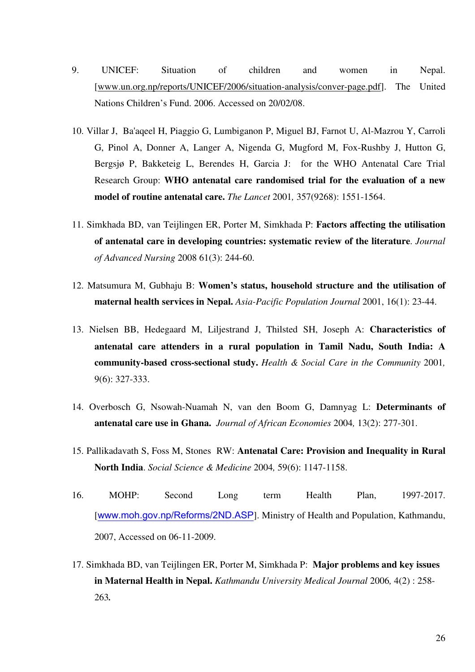- 9. UNICEF: Situation of children and women in Nepal. [www.un.org.np/reports/UNICEF/2006/situation-analysis/conver-page.pdf]. The United Nations Children's Fund. 2006. Accessed on 20/02/08.
- 10. Villar J, Ba'aqeel H, Piaggio G, Lumbiganon P, Miguel BJ, Farnot U, Al-Mazrou Y, Carroli G, Pinol A, Donner A, Langer A, Nigenda G, Mugford M, Fox-Rushby J, Hutton G, Bergsjø P, Bakketeig L, Berendes H, Garcia J: for the WHO Antenatal Care Trial Research Group: **WHO antenatal care randomised trial for the evaluation of a new model of routine antenatal care.** *The Lancet* 2001*,* 357(9268): 1551-1564.
- 11. Simkhada BD, van Teijlingen ER, Porter M, Simkhada P: **Factors affecting the utilisation of antenatal care in developing countries: systematic review of the literature**. *Journal of Advanced Nursing* 2008 61(3): 244-60.
- 12. Matsumura M, Gubhaju B: **Women's status, household structure and the utilisation of maternal health services in Nepal.** *Asia-Pacific Population Journal* 2001, 16(1): 23-44.
- 13. Nielsen BB, Hedegaard M, Liljestrand J, Thilsted SH, Joseph A: **Characteristics of antenatal care attenders in a rural population in Tamil Nadu, South India: A community-based cross-sectional study.** *Health & Social Care in the Community* 2001*,*  9(6): 327-333.
- 14. Overbosch G, Nsowah-Nuamah N, van den Boom G, Damnyag L: **Determinants of antenatal care use in Ghana.** *Journal of African Economies* 2004*,* 13(2): 277-301.
- 15. Pallikadavath S, Foss M, Stones RW: **Antenatal Care: Provision and Inequality in Rural North India**. *Social Science & Medicine* 2004*,* 59(6): 1147-1158.
- 16. MOHP: Second Long term Health Plan, 1997-2017. [www.moh.gov.np/Reforms/2ND.ASP]. Ministry of Health and Population, Kathmandu, 2007, Accessed on 06-11-2009.
- 17. Simkhada BD, van Teijlingen ER, Porter M, Simkhada P: **Major problems and key issues in Maternal Health in Nepal.** *Kathmandu University Medical Journal* 2006*,* 4(2) : 258- 263*.*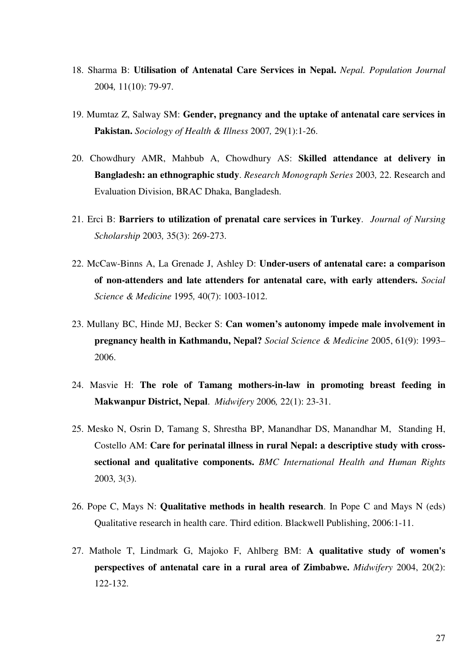- 18. Sharma B: **Utilisation of Antenatal Care Services in Nepal.** *Nepal. Population Journal*  2004*,* 11(10): 79-97.
- 19. Mumtaz Z, Salway SM: **Gender, pregnancy and the uptake of antenatal care services in Pakistan.** *Sociology of Health & Illness* 2007*,* 29(1):1-26.
- 20. Chowdhury AMR, Mahbub A, Chowdhury AS: **Skilled attendance at delivery in Bangladesh: an ethnographic study**. *Research Monograph Series* 2003*,* 22. Research and Evaluation Division, BRAC Dhaka, Bangladesh.
- 21. Erci B: **Barriers to utilization of prenatal care services in Turkey**. *Journal of Nursing Scholarship* 2003*,* 35(3): 269-273.
- 22. McCaw-Binns A, La Grenade J, Ashley D: **Under-users of antenatal care: a comparison of non-attenders and late attenders for antenatal care, with early attenders.** *Social Science & Medicine* 1995*,* 40(7): 1003-1012.
- 23. Mullany BC, Hinde MJ, Becker S: **Can women's autonomy impede male involvement in pregnancy health in Kathmandu, Nepal?** *Social Science & Medicine* 2005, 61(9): 1993– 2006.
- 24. Masvie H: **The role of Tamang mothers-in-law in promoting breast feeding in Makwanpur District, Nepal**. *Midwifery* 2006*,* 22(1): 23-31.
- 25. Mesko N, Osrin D, Tamang S, Shrestha BP, Manandhar DS, Manandhar M, Standing H, Costello AM: **Care for perinatal illness in rural Nepal: a descriptive study with crosssectional and qualitative components.** *BMC International Health and Human Rights*  2003*,* 3(3).
- 26. Pope C, Mays N: **Qualitative methods in health research**. In Pope C and Mays N (eds) Qualitative research in health care. Third edition. Blackwell Publishing, 2006:1-11.
- 27. Mathole T, Lindmark G, Majoko F, Ahlberg BM: **A qualitative study of women's perspectives of antenatal care in a rural area of Zimbabwe.** *Midwifery* 2004, 20(2): 122-132.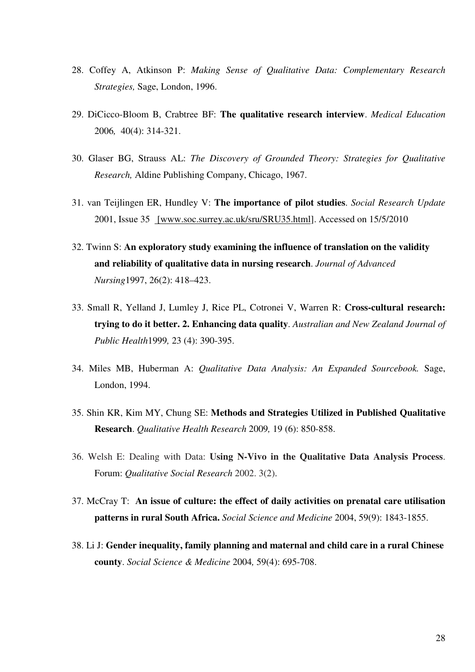- 28. Coffey A, Atkinson P: *Making Sense of Qualitative Data: Complementary Research Strategies,* Sage, London, 1996.
- 29. DiCicco-Bloom B, Crabtree BF: **The qualitative research interview**. *Medical Education*  2006*,* 40(4): 314-321.
- 30. Glaser BG, Strauss AL: *The Discovery of Grounded Theory: Strategies for Qualitative Research,* Aldine Publishing Company, Chicago, 1967.
- 31. van Teijlingen ER, Hundley V: **The importance of pilot studies**. *Social Research Update*  2001, Issue 35 [www.soc.surrey.ac.uk/sru/SRU35.html]. Accessed on 15/5/2010
- 32. Twinn S: **An exploratory study examining the influence of translation on the validity and reliability of qualitative data in nursing research**. *Journal of Advanced Nursing*1997, 26(2): 418–423.
- 33. Small R, Yelland J, Lumley J, Rice PL, Cotronei V, Warren R: **Cross-cultural research: trying to do it better. 2. Enhancing data quality**. *Australian and New Zealand Journal of Public Health*1999*,* 23 (4): 390-395.
- 34. Miles MB, Huberman A: *Qualitative Data Analysis: An Expanded Sourcebook.* Sage, London, 1994.
- 35. Shin KR, Kim MY, Chung SE: **Methods and Strategies Utilized in Published Qualitative Research**. *Qualitative Health Research* 2009*,* 19 (6): 850-858.
- 36. Welsh E: Dealing with Data: **Using N-Vivo in the Qualitative Data Analysis Process**. Forum: *Qualitative Social Research* 2002. 3(2).
- 37. McCray T: **An issue of culture: the effect of daily activities on prenatal care utilisation patterns in rural South Africa.** *Social Science and Medicine* 2004, 59(9): 1843-1855.
- 38. Li J: **Gender inequality, family planning and maternal and child care in a rural Chinese county**. *Social Science & Medicine* 2004*,* 59(4): 695-708.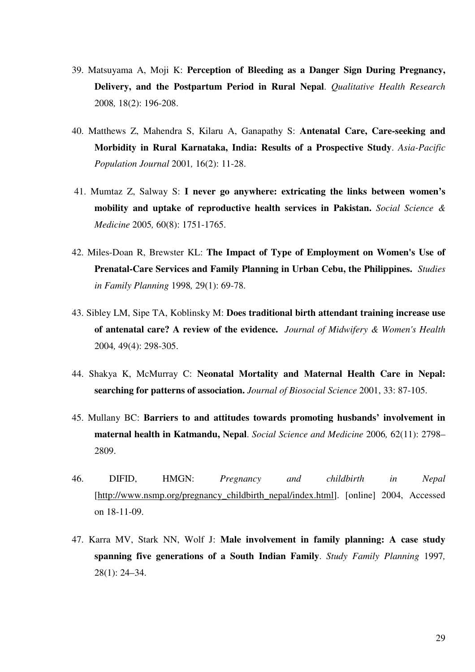- 39. Matsuyama A, Moji K: **Perception of Bleeding as a Danger Sign During Pregnancy, Delivery, and the Postpartum Period in Rural Nepal**. *Qualitative Health Research*  2008*,* 18(2): 196-208.
- 40. Matthews Z, Mahendra S, Kilaru A, Ganapathy S: **Antenatal Care, Care-seeking and Morbidity in Rural Karnataka, India: Results of a Prospective Study**. *Asia-Pacific Population Journal* 2001*,* 16(2): 11-28.
- 41. Mumtaz Z, Salway S: **I never go anywhere: extricating the links between women's mobility and uptake of reproductive health services in Pakistan.** *Social Science & Medicine* 2005*,* 60(8): 1751-1765.
- 42. Miles-Doan R, Brewster KL: **The Impact of Type of Employment on Women's Use of Prenatal-Care Services and Family Planning in Urban Cebu, the Philippines.** *Studies in Family Planning* 1998*,* 29(1): 69-78.
- 43. Sibley LM, Sipe TA, Koblinsky M: **Does traditional birth attendant training increase use of antenatal care? A review of the evidence.** *Journal of Midwifery & Women's Health*  2004*,* 49(4): 298-305.
- 44. Shakya K, McMurray C: **Neonatal Mortality and Maternal Health Care in Nepal: searching for patterns of association.** *Journal of Biosocial Science* 2001, 33: 87-105.
- 45. Mullany BC: **Barriers to and attitudes towards promoting husbands' involvement in maternal health in Katmandu, Nepal**. *Social Science and Medicine* 2006*,* 62(11): 2798– 2809.
- 46. DIFID, HMGN: *Pregnancy and childbirth in Nepal* [http://www.nsmp.org/pregnancy\_childbirth\_nepal/index.html]. [online] 2004, Accessed on 18-11-09.
- 47. Karra MV, Stark NN, Wolf J: **Male involvement in family planning: A case study spanning five generations of a South Indian Family**. *Study Family Planning* 1997*,*  28(1): 24–34.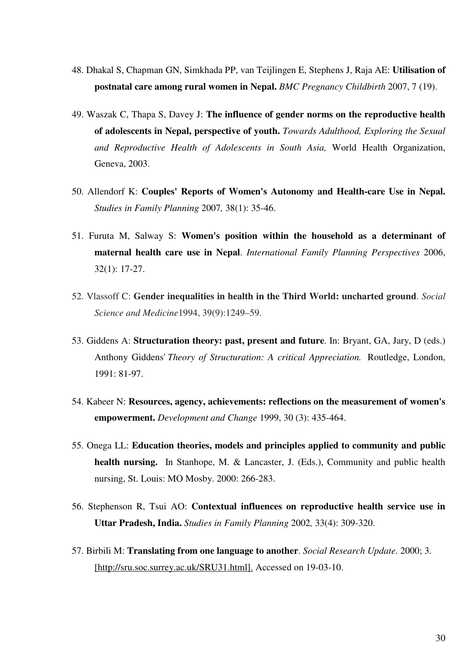- 48. Dhakal S, Chapman GN, Simkhada PP, van Teijlingen E, Stephens J, Raja AE: **Utilisation of postnatal care among rural women in Nepal.** *BMC Pregnancy Childbirth* 2007, 7 (19).
- 49. Waszak C, Thapa S, Davey J: **The influence of gender norms on the reproductive health of adolescents in Nepal, perspective of youth.** *Towards Adulthood, Exploring the Sexual and Reproductive Health of Adolescents in South Asia,* World Health Organization, Geneva, 2003.
- 50. Allendorf K: **Couples' Reports of Women's Autonomy and Health-care Use in Nepal.** *Studies in Family Planning* 2007*,* 38(1): 35-46.
- 51. Furuta M, Salway S: **Women's position within the household as a determinant of maternal health care use in Nepal**. *International Family Planning Perspectives* 2006, 32(1): 17-27.
- 52. Vlassoff C: **Gender inequalities in health in the Third World: uncharted ground**. *Social Science and Medicine*1994, 39(9):1249–59.
- 53. Giddens A: **Structuration theory: past, present and future**. In: Bryant, GA, Jary, D (eds.) Anthony Giddens' *Theory of Structuration: A critical Appreciation.* Routledge, London, 1991: 81-97.
- 54. Kabeer N: **Resources, agency, achievements: reflections on the measurement of women's empowerment.** *Development and Change* 1999, 30 (3): 435-464.
- 55. Onega LL: **Education theories, models and principles applied to community and public health nursing.** In Stanhope, M. & Lancaster, J. (Eds.), Community and public health nursing, St. Louis: MO Mosby. 2000: 266-283.
- 56. Stephenson R, Tsui AO: **Contextual influences on reproductive health service use in Uttar Pradesh, India.** *Studies in Family Planning* 2002*,* 33(4): 309-320.
- 57. Birbili M: **Translating from one language to another**. *Social Research Update*. 2000; 3. [http://sru.soc.surrey.ac.uk/SRU31.html]. Accessed on 19-03-10.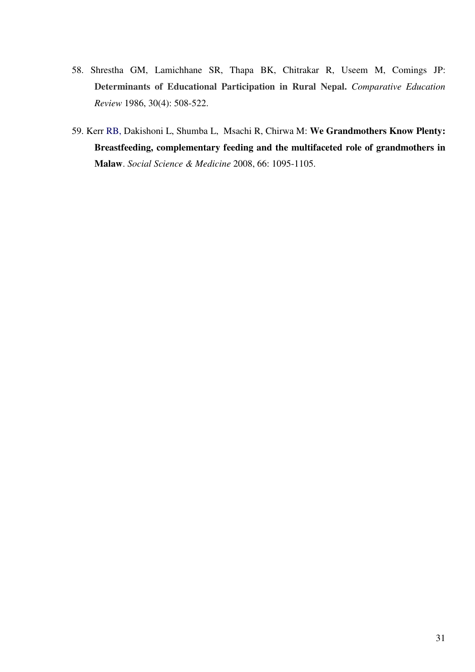- 58. Shrestha GM, Lamichhane SR, Thapa BK, Chitrakar R, Useem M, Comings JP: **Determinants of Educational Participation in Rural Nepal.** *Comparative Education Review* 1986, 30(4): 508-522.
- 59. Kerr RB, Dakishoni L, Shumba L, Msachi R, Chirwa M: **We Grandmothers Know Plenty: Breastfeeding, complementary feeding and the multifaceted role of grandmothers in Malaw**. *Social Science & Medicine* 2008, 66: 1095-1105.